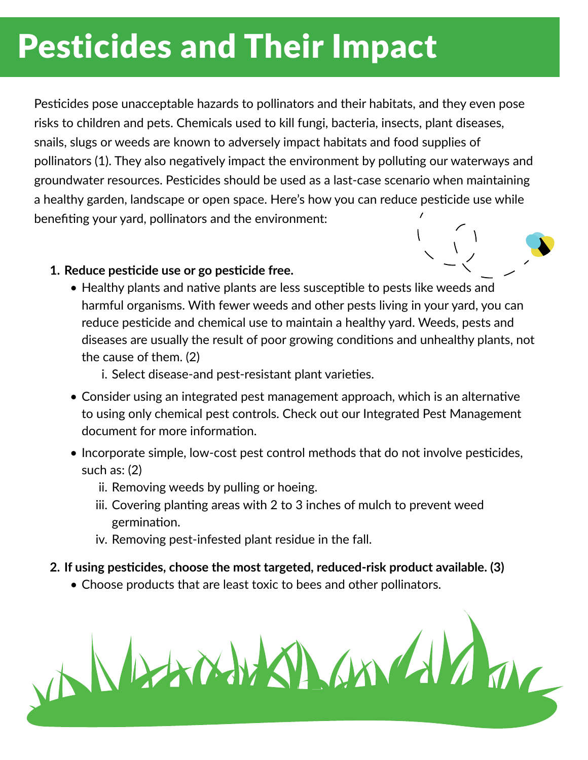# Pesticides and Their Impact

Pesticides pose unacceptable hazards to pollinators and their habitats, and they even pose risks to children and pets. Chemicals used to kill fungi, bacteria, insects, plant diseases, snails, slugs or weeds are known to adversely impact habitats and food supplies of pollinators (1). They also negatively impact the environment by polluting our waterways and groundwater resources. Pesticides should be used as a last-case scenario when maintaining a healthy garden, landscape or open space. Here's how you can reduce pesticide use while benefiting your yard, pollinators and the environment:

## **1. Reduce pesticide use or go pesticide free.**

- Healthy plants and native plants are less susceptible to pests like weeds and harmful organisms. With fewer weeds and other pests living in your yard, you can reduce pesticide and chemical use to maintain a healthy yard. Weeds, pests and diseases are usually the result of poor growing conditions and unhealthy plants, not the cause of them. (2)
	- i. Select disease-and pest-resistant plant varieties.
- Consider using an integrated pest management approach, which is an alternative to using only chemical pest controls. Check out our Integrated Pest Management document for more information.
- Incorporate simple, low-cost pest control methods that do not involve pesticides, such as: (2)
	- ii. Removing weeds by pulling or hoeing.
	- iii. Covering planting areas with 2 to 3 inches of mulch to prevent weed germination.
	- iv. Removing pest-infested plant residue in the fall.

### **2. If using pesticides, choose the most targeted, reduced-risk product available. (3)**

• Choose products that are least toxic to bees and other pollinators.